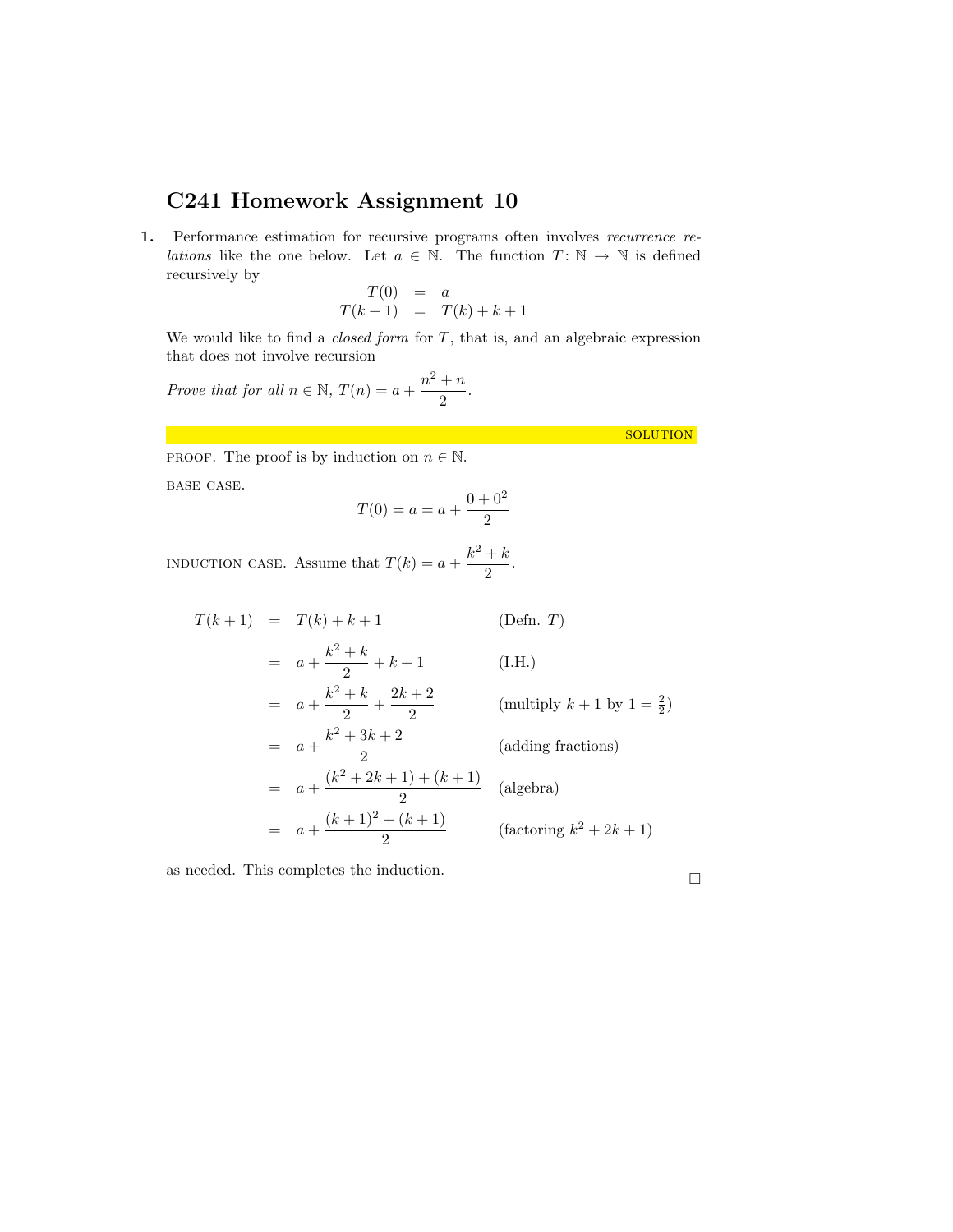## <span id="page-0-0"></span>C241 Homework Assignment 10

1. Performance estimation for recursive programs often involves recurrence re*lations* like the one below. Let  $a \in \mathbb{N}$ . The function  $T: \mathbb{N} \to \mathbb{N}$  is defined recursively by

$$
T(0) = a
$$
  

$$
T(k+1) = T(k) + k + 1
$$

We would like to find a *closed form* for  $T$ , that is, and an algebraic expression that does not involve recursion

Prove that for all  $n \in \mathbb{N}$ ,  $T(n) = a + \frac{n^2 + n}{2}$  $\frac{1}{2}$ .

solution

PROOF. The proof is by induction on  $n \in \mathbb{N}$ .

base case.

$$
T(0) = a = a + \frac{0 + 0^2}{2}
$$

INDUCTION CASE. Assume that  $T(k) = a + \frac{k^2 + k}{2}$  $\frac{1}{2}$ .

 $T(k+1) = T(k) + k + 1$  (Defn. T)  $= a + \frac{k^2 + k}{2}$  $\frac{1}{2} + k + 1$  (I.H.)  $= a + \frac{k^2 + k}{2}$  $\frac{1+k}{2} + \frac{2k+2}{2}$ 2 (multiply  $k+1$  by  $1=\frac{2}{2}$ )  $= a + \frac{k^2 + 3k + 2}{2}$ 2 (adding fractions)  $= a + \frac{(k^2 + 2k + 1) + (k+1)}{2}$  $\frac{2}{2}$  (algebra)  $= a + \frac{(k+1)^2 + (k+1)}{2}$  $\frac{+(k+1)}{2}$  (factoring  $k^2 + 2k + 1$ )

as needed. This completes the induction.  $\hfill \square$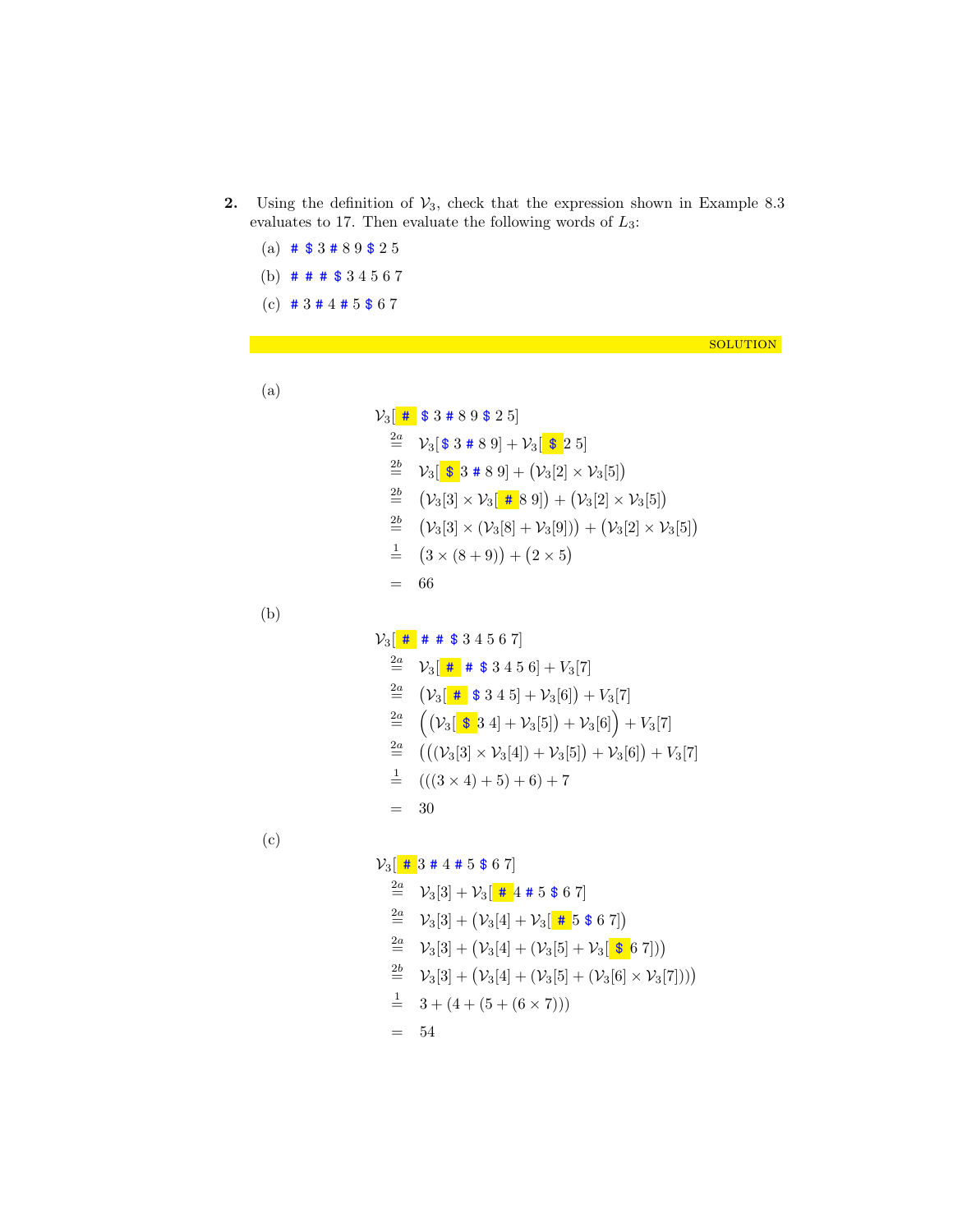- 2. Using the definition of  $V_3$ , check that the expression shown in Example 8.3 evaluates to 17. Then evaluate the following words of  $L_3$ :
	- (a)  $\#$  \$ 3 # 8 9 \$ 2 5 (b) # # # \$ 3 4 5 6 7 (c)  $\# 3 \# 4 \# 5 \$ 6 7$

solution

(a)

$$
\mathcal{V}_3[
$$
 # \$3 # 8 9 \$ 2 5]  
\n
$$
\stackrel{2a}{=} \mathcal{V}_3[
$$
 \$3 # 8 9] +  $\mathcal{V}_3$  [ \$2 5]  
\n
$$
\stackrel{2b}{=} \mathcal{V}_3[
$$
 \$3 # 8 9] + ( $\mathcal{V}_3$ [2] ×  $\mathcal{V}_3$ [5])  
\n
$$
\stackrel{2b}{=} (\mathcal{V}_3[3] \times \mathcal{V}_3[
$$
 # 8 9]) + ( $\mathcal{V}_3$ [2] ×  $\mathcal{V}_3$ [5])  
\n
$$
\stackrel{2b}{=} (\mathcal{V}_3[3] \times (\mathcal{V}_3[8] + \mathcal{V}_3[9])) + (\mathcal{V}_3[2] \times \mathcal{V}_3[5])\n
$$
\stackrel{1}{=} (3 \times (8 + 9)) + (2 \times 5)\n= 66
$$
$$

(b)

$$
\mathcal{V}_3\left[\begin{array}{c}\n\text{# } \# \# \# \$3\ 4\ 5\ 6\ 7\n\end{array}\right]
$$
\n
$$
\stackrel{2a}{=} \mathcal{V}_3\left[\begin{array}{c}\n\text{# } \# \$3\ 4\ 5\ 6\right] + \mathcal{V}_3[7]
$$
\n
$$
\stackrel{2a}{=} \left(\mathcal{V}_3\left[\begin{array}{c}\n\text{# } \$3\ 4\ 5\right] + \mathcal{V}_3[6]\right) + \mathcal{V}_3[7]
$$
\n
$$
\stackrel{2a}{=} \left(\left(\mathcal{V}_3\left[\begin{array}{c}\n\text{$} \$3\ 4\right] + \mathcal{V}_3[5]\right) + \mathcal{V}_3[6]\right) + \mathcal{V}_3[7]
$$
\n
$$
\stackrel{2a}{=} \left(\left((\mathcal{V}_3[3] \times \mathcal{V}_3[4]) + \mathcal{V}_3[5]\right) + \mathcal{V}_3[6]\right) + \mathcal{V}_3[7]
$$
\n
$$
\stackrel{1}{=} \left(((3 \times 4) + 5) + 6\right) + 7
$$
\n
$$
= 30
$$

(c)

## $V_3$   $\left[$  #  $3$  # 4 # 5 \$ 6 7]

$$
\begin{aligned}\n\stackrel{2a}{=} & \mathcal{V}_3[3] + \mathcal{V}_3[\frac{\text{# }4 \text{ # }5 \text{ $6 7$}]}{2a} \\
& \mathcal{V}_3[3] + (\mathcal{V}_3[4] + \mathcal{V}_3[\frac{\text{# }5 \text{ $6 7$}]}{2a} \\
& \mathcal{V}_3[3] + (\mathcal{V}_3[4] + (\mathcal{V}_3[5] + \mathcal{V}_3[\frac{\text{ $6 7$}]}{2a}]) \\
& \stackrel{2b}{=} \mathcal{V}_3[3] + (\mathcal{V}_3[4] + (\mathcal{V}_3[5] + (\mathcal{V}_3[6] \times \mathcal{V}_3[7])) \\
& \stackrel{1}{=} 3 + (4 + (5 + (6 \times 7)))\n\end{aligned}
$$

= 54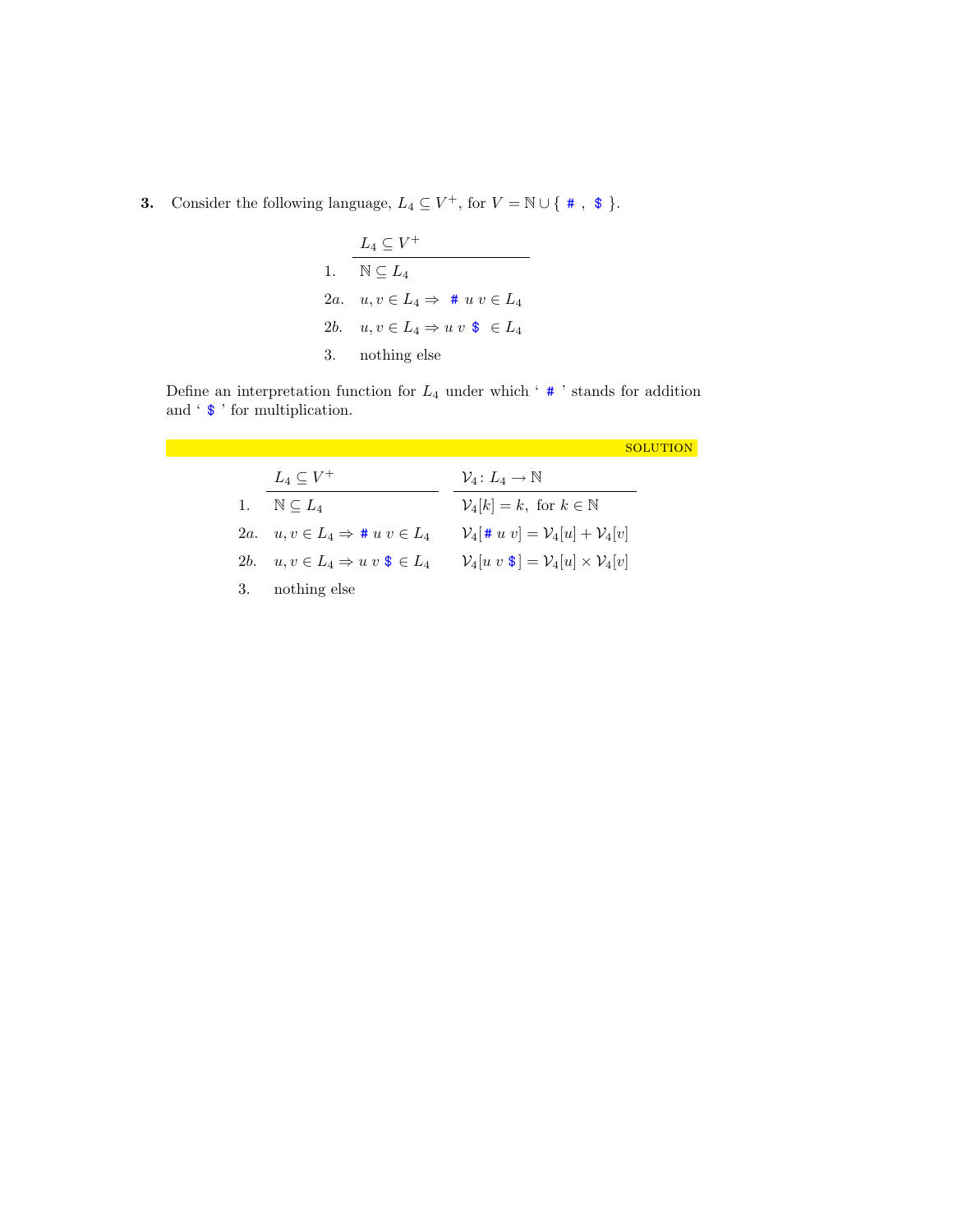## **3.** Consider the following language,  $L_4 \subseteq V^+$ , for  $V = \mathbb{N} \cup \{ * , * \}$ .

| $L_4 \subset V^+$                                            |
|--------------------------------------------------------------|
| 1. $\mathbb{N} \subset L_4$                                  |
| 2a. $u, v \in L_4 \Rightarrow # u v \in L_4$                 |
| 2b. $u, v \in L_4 \Rightarrow u v \; \mathbf{\$} \; \in L_4$ |
| 3. nothing else                                              |

Define an interpretation function for  $L_4$  under which ' $\#$ ' stands for addition and ' \$ ' for multiplication.

|    |                                                       | SOLUTION                                                                 |
|----|-------------------------------------------------------|--------------------------------------------------------------------------|
|    | $L_4 \subset V^+$                                     | $\mathcal{V}_4\colon L_4\to\mathbb{N}$                                   |
| 1. | $\mathbb{N} \subseteq L_A$                            | $\mathcal{V}_4[k] = k$ , for $k \in \mathbb{N}$                          |
|    | 2a. $u, v \in L_4 \Rightarrow \# u, v \in L_4$        | $\mathcal{V}_4[\# u \ v] = \mathcal{V}_4[u] + \mathcal{V}_4[v]$          |
|    | 2b. $u, v \in L_4 \Rightarrow u v \mathbf{S} \in L_4$ | $\mathcal{V}_4[u \ v \ $ \ ] = \mathcal{V}_4[u] \times \mathcal{V}_4[v]$ |
| 3. | nothing else                                          |                                                                          |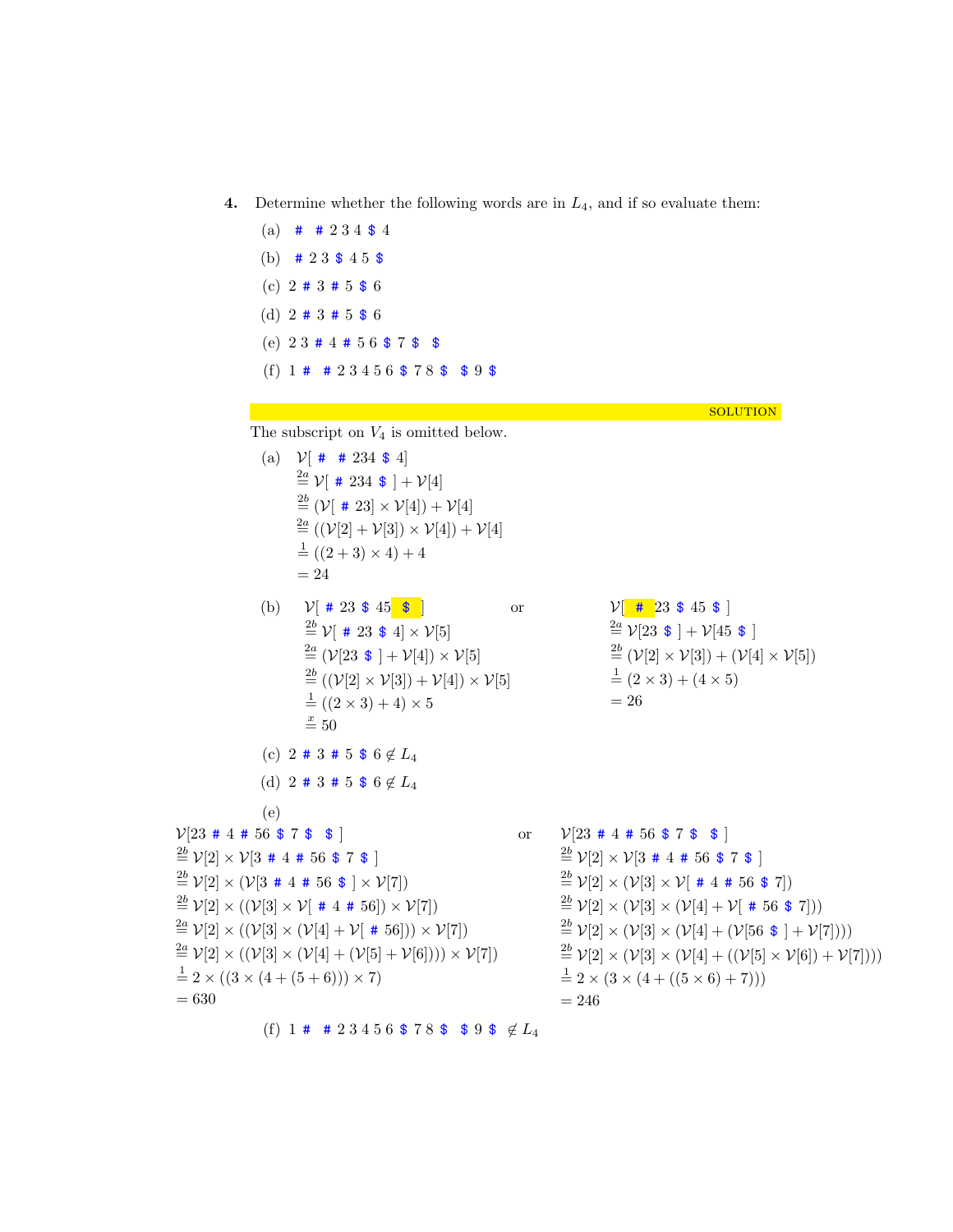(a)  $\#$   $\#$  2 3 4 \$ 4 (b)  $\# 23 \$ 45 \$$ (c) 2 # 3 # 5 \$ 6 (d)  $2 \# 3 \# 5 \$ 6$ (e) 2 3 # 4 # 5 6 \$ 7 \$ \$ (f)  $1 \# 2 \ 3 \ 4 \ 5 \ 6 \$  \$ 7 8 \$ \$ 9 \$ **SOLUTION** The subscript on  $V_4$  is omitted below. (a)  $V[$  #  $\#$  234 \$ 4]  $\stackrel{2a}{=} \mathcal{V}[\# 234 \; \$ \; ] + \mathcal{V}[4]$  $\sum_{i=1}^{2b}$  ( $V[$  # 23]  $\times$   $V[4]) + V[4]$  $\stackrel{2a}{=} ((\mathcal{V}[2] + \mathcal{V}[3]) \times \mathcal{V}[4]) + \mathcal{V}[4]$  $\frac{1}{2}((2+3)\times4)+4$  $= 24$ (b)  $V[ # 23 $ 45 ]$  $\stackrel{2b}{=} \mathcal{V}[\# 23 \; \$ \; 4] \times \mathcal{V}[5]$  $\stackrel{2a}{=} (\nu[23 \; \$ \; ] + \nu[4]) \times \nu[5]$  $\stackrel{2b}{=} ((\mathcal{V}[2] \times \mathcal{V}[3]) + \mathcal{V}[4]) \times \mathcal{V}[5]$  $\frac{1}{2} ((2 \times 3) + 4) \times 5$  $\stackrel{x}{=} 50$ or  $V$   $\neq$  23 \$ 45 \$  $\stackrel{2a}{=}$   $\mathcal{V}[23 \; $| + \mathcal{V}[45 \; $|]$  $\stackrel{2b}{=} (\mathcal{V}[2]\times\mathcal{V}[3]) + (\mathcal{V}[4]\times\mathcal{V}[5])$  $\frac{1}{2} (2 \times 3) + (4 \times 5)$  $= 26$ (c) 2 # 3 # 5 \$ 6  $\notin L_4$ (d) 2 # 3 # 5 \$ 6  $\notin L_4$ (e)  $V[23 \# 4 \# 56 \$ 7 \$$  $\stackrel{2b}{=}$   $V[2] \times V[3 + 4 + 56 + 7 + ]$  $\stackrel{2b}{=} \mathcal{V}[2] \times (\mathcal{V}[3 + 4 + 56 +] \times \mathcal{V}[7])$  $\stackrel{2b}{=} \mathcal{V}[2]\times ((\mathcal{V}[3]\times \mathcal{V}[$  # 4 # 56])  $\times \mathcal{V}[7])$  $\stackrel{2a}{=} \mathcal{V}[2] \times ((\mathcal{V}[3] \times (\mathcal{V}[4] + \mathcal{V}[ # 56])) \times \mathcal{V}[7])$  $\stackrel{2a}{=} \mathcal{V}[2] \times ((\mathcal{V}[3] \times (\mathcal{V}[4] + (\mathcal{V}[5] + \mathcal{V}[6]))) \times \mathcal{V}[7])$  $\frac{1}{2}$  2 × ((3 × (4 + (5 + 6))) × 7)  $= 630$ or  $V[23 \# 4 \# 56 \$ 7 \$ 1]$  $\stackrel{2b}{=}$   $V[2] \times V[3 + 4 + 56 + 7 + ]$  $\stackrel{2b}{=}$   $V[2] \times (V[3] \times V[$  # 4 # 56 \$ 7])  $\stackrel{2b}{=}$   $V[2] \times (V[3] \times (V[4] + V[ # 56 $ 7]))$  $\stackrel{2b}{=} \mathcal{V}[2] \times (\mathcal{V}[3] \times (\mathcal{V}[4] + (\mathcal{V}[56 \; \$] + \mathcal{V}[7]))$  $\stackrel{2b}{=} \mathcal{V}[2] \times (\mathcal{V}[3] \times (\mathcal{V}[4] + ((\mathcal{V}[5] \times \mathcal{V}[6]) + \mathcal{V}[7]))$  $\frac{1}{2}$  2 × (3 × (4 + ((5 × 6) + 7)))  $= 246$ 

4. Determine whether the following words are in  $L_4$ , and if so evaluate them:

(f) 1 # # 2 3 4 5 6 \$ 7 8 \$ \$ 9 \$  $\notin L_4$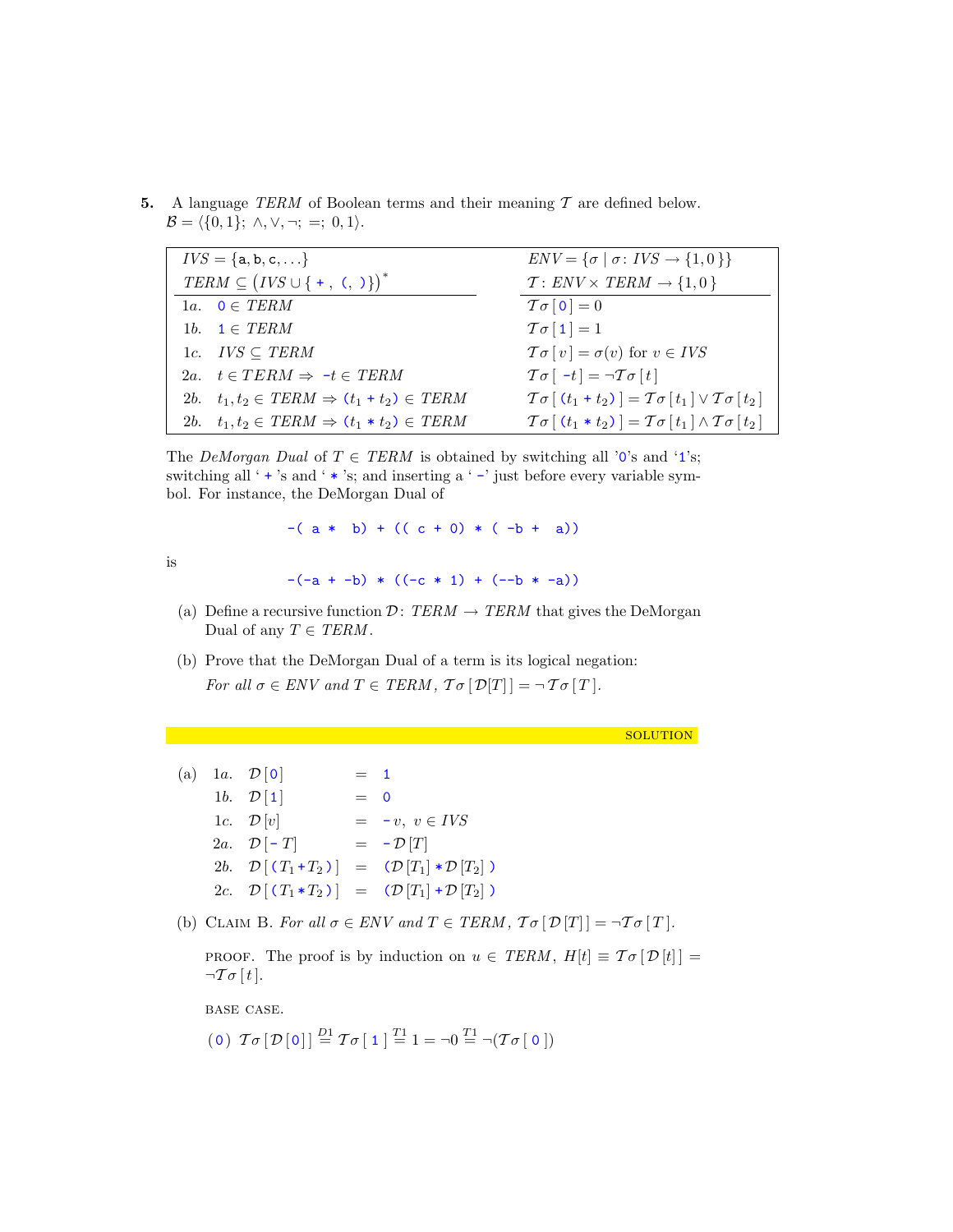5. A language TERM of Boolean terms and their meaning  $\mathcal T$  are defined below.  $\mathcal{B} = \langle \{0, 1\}; \wedge, \vee, \neg; =; 0, 1 \rangle.$ 

| $IVS = \{a, b, c, \}$                                    | $ENV = {\sigma   \sigma : IVS \rightarrow {1,0}}$                                                |
|----------------------------------------------------------|--------------------------------------------------------------------------------------------------|
| $TERM \subseteq (IVS \cup \{ +, \ldots, ) \}^*$          | $T: ENV \times TERM \rightarrow \{1,0\}$                                                         |
| 1a. $0 \in TERM$                                         | $T\sigma$ [0] = 0                                                                                |
| 1b. $\mathbf{1} \in \text{TERM}$                         | $T\sigma$ [1] = 1                                                                                |
| 1c. $IVS \subseteq TERM$                                 | $\mathcal{T}\sigma[v] = \sigma(v)$ for $v \in IVS$                                               |
| 2a. $t \in TERM \Rightarrow -t \in TERM$                 | $\mathcal{T}\sigma$ [ -t] = $\neg \mathcal{T}\sigma$ [t]                                         |
| 2b. $t_1, t_2 \in TERM \Rightarrow (t_1 + t_2) \in TERM$ | $\mathcal{T}\sigma[(t_1+t_2)] = \mathcal{T}\sigma[t_1] \vee \mathcal{T}\sigma[t_2]$              |
| 2b. $t_1, t_2 \in TERM \Rightarrow (t_1 * t_2) \in TERM$ | $\mathcal{T}\sigma$ $(t_1 * t_2)$ = $\mathcal{T}\sigma$ $[t_1] \wedge \mathcal{T}\sigma$ $[t_2]$ |

The *DeMorgan Dual* of  $T \in TERM$  is obtained by switching all '0's and '1's; switching all ' $+$ 's and ' $*$ 's; and inserting a ' $-$ ' just before every variable symbol. For instance, the DeMorgan Dual of

 $-(a * b) + ((c + 0) * (-b + a))$ 

is

 $-(-a + -b) * ((-c * 1) + (-b * -a))$ 

- (a) Define a recursive function  $\mathcal{D}: \text{TERM} \rightarrow \text{TERM}$  that gives the DeMorgan Dual of any  $T \in TERM$ .
- (b) Prove that the DeMorgan Dual of a term is its logical negation: For all  $\sigma \in ENV$  and  $T \in TERM$ ,  $\mathcal{T}\sigma[\mathcal{D}[T]] = \neg \mathcal{T}\sigma[T]$ .

solution

- (a) 1a.  $\mathcal{D}[0] = 1$ 1b.  $\mathcal{D} \begin{bmatrix} 1 \end{bmatrix} = 0$ 1c.  $\mathcal{D}[v]$  =  $-v, v \in IVS$ 2a.  $\mathcal{D}[-T]$  =  $-\mathcal{D}[T]$ 2b.  $\mathcal{D} \left[ (T_1 + T_2) \right] = (\mathcal{D} \left[ T_1 \right] * \mathcal{D} \left[ T_2 \right])$ 2c.  $\mathcal{D} \left[ \left( T_1 \ast T_2 \right) \right] = \left( \mathcal{D} \left[ T_1 \right] + \mathcal{D} \left[ T_2 \right] \right)$
- (b) CLAIM B. For all  $\sigma \in ENV$  and  $T \in TERM$ ,  $\mathcal{T}\sigma[\mathcal{D}[T]] = \neg \mathcal{T}\sigma[T]$ .

PROOF. The proof is by induction on  $u \in \text{TERM}$ ,  $H[t] \equiv \mathcal{T} \sigma [\mathcal{D}[t]] =$  $\neg \mathcal{T} \sigma[t].$ 

base case.

(0)  $\mathcal{T}\sigma[\mathcal{D}[0]] \stackrel{D1}{=} \mathcal{T}\sigma[\mathbf{1}] \stackrel{T1}{=} 1 = \neg 0 \stackrel{T1}{=} \neg(\mathcal{T}\sigma[\mathbf{0}])$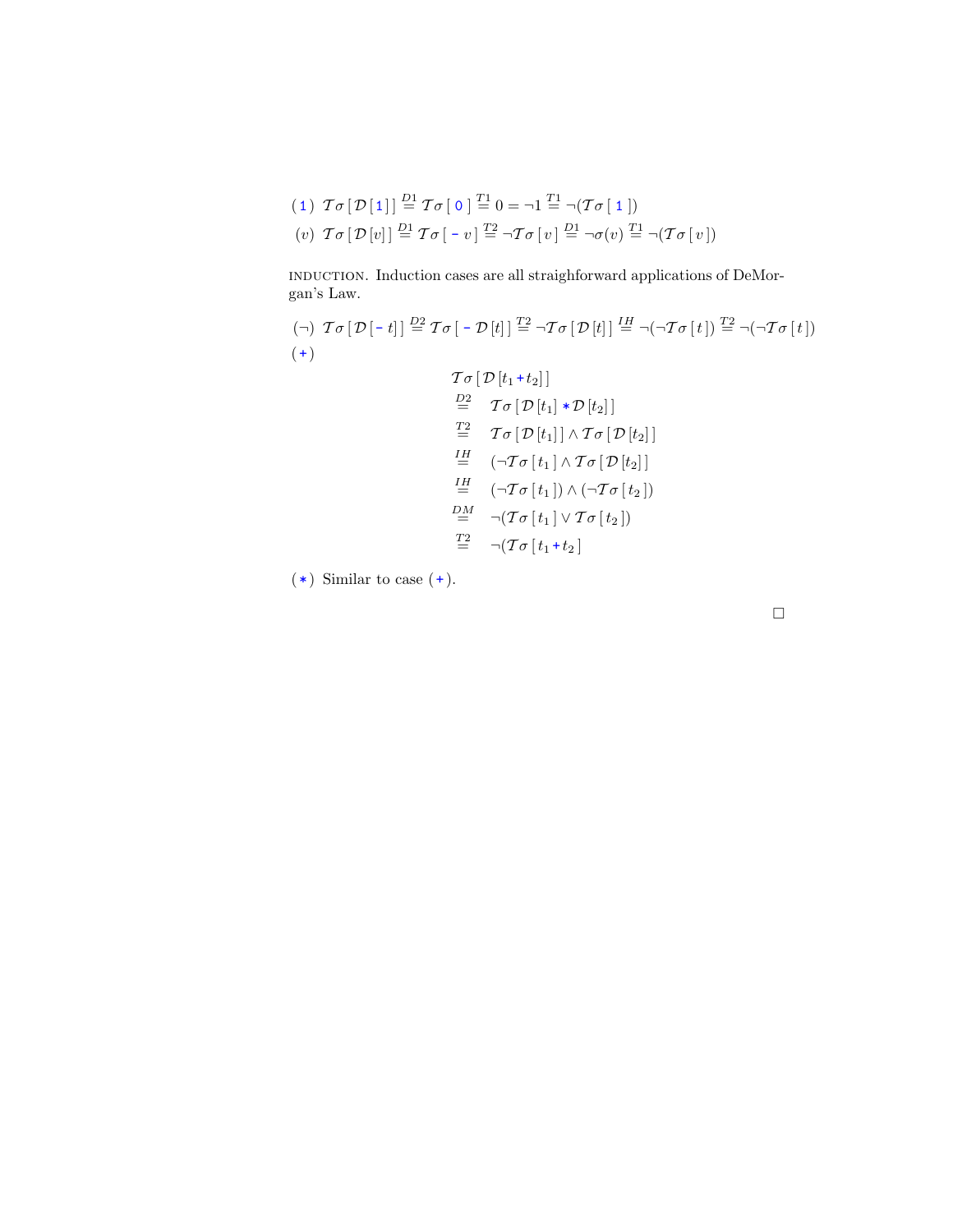$$
(1) \ \mathcal{T}\sigma[\mathcal{D}[1]] \stackrel{D1}{=} \mathcal{T}\sigma[\ 0] \stackrel{T1}{=} 0 = \neg 1 \stackrel{T1}{=} \neg(\mathcal{T}\sigma[\ 1])
$$

$$
(v) \ \mathcal{T}\sigma[\mathcal{D}[v]] \stackrel{D1}{=} \mathcal{T}\sigma[\ -v] \stackrel{T2}{=} \neg\mathcal{T}\sigma[v] \stackrel{D1}{=} \neg\sigma(v) \stackrel{T1}{=} \neg(\mathcal{T}\sigma[v])
$$

induction. Induction cases are all straighforward applications of DeMorgan's Law.

$$
(\neg) \ \mathcal{T}\sigma[\mathcal{D}[-t]] \stackrel{D2}{=} \mathcal{T}\sigma[-\mathcal{D}[t]] \stackrel{T2}{=} \neg \mathcal{T}\sigma[\mathcal{D}[t]] \stackrel{IH}{=} \neg(\neg \mathcal{T}\sigma[t]) \stackrel{T2}{=} \neg(\neg \mathcal{T}\sigma[t])
$$
\n
$$
(\neg)
$$
\n
$$
\mathcal{T}\sigma[\mathcal{D}[t_1+t_2]]
$$
\n
$$
\stackrel{D2}{=} \mathcal{T}\sigma[\mathcal{D}[t_1]*\mathcal{D}[t_2]]
$$
\n
$$
\stackrel{T2}{=} \mathcal{T}\sigma[\mathcal{D}[t_1]] \land \mathcal{T}\sigma[\mathcal{D}[t_2]]
$$
\n
$$
\stackrel{IH}{=} (\neg \mathcal{T}\sigma[t_1] \land \mathcal{T}\sigma[\mathcal{D}[t_2]]
$$
\n
$$
\stackrel{IH}{=} (\neg \mathcal{T}\sigma[t_1]) \land (\neg \mathcal{T}\sigma[t_2])
$$
\n
$$
\stackrel{DM}{=} \neg(\mathcal{T}\sigma[t_1] \lor \mathcal{T}\sigma[t_2])
$$
\n
$$
\stackrel{T2}{=} \neg(\mathcal{T}\sigma[t_1+t_2]
$$

 $(*)$  Similar to case  $(+)$ .

 $\hfill \square$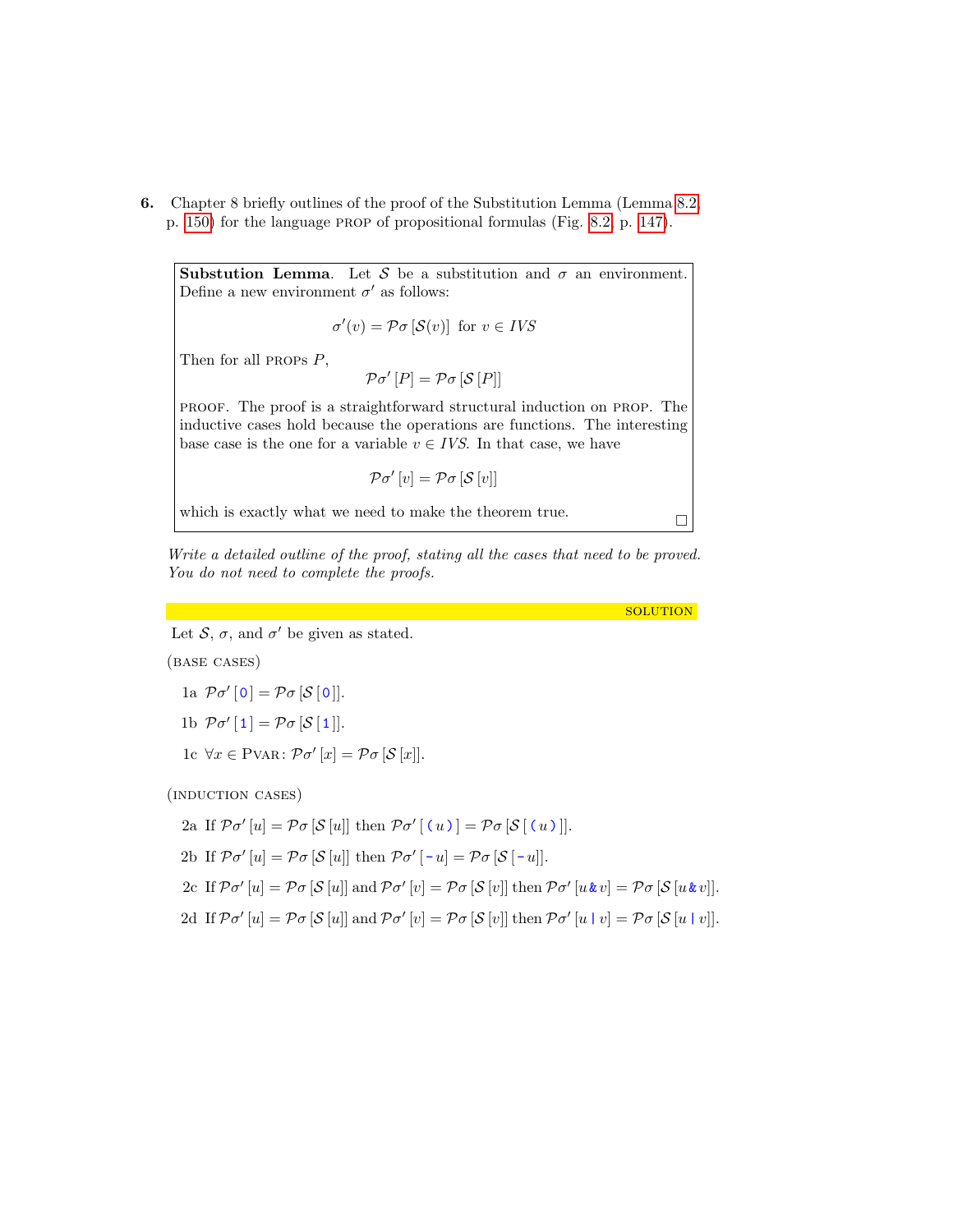6. Chapter 8 briefly outlines of the proof of the Substitution Lemma (Lemma [8.2,](#page-0-0) p. [150\)](#page-0-0) for the language prop of propositional formulas (Fig. [8.2,](#page-0-0) p. [147\)](#page-0-0).

**Substution Lemma.** Let S be a substitution and  $\sigma$  an environment. Define a new environment  $\sigma'$  as follows:

$$
\sigma'(v) = \mathcal{P}\sigma\left[\mathcal{S}(v)\right] \text{ for } v \in IVS
$$

Then for all PROPs  $P$ ,

$$
\mathcal{P}\sigma'[P] = \mathcal{P}\sigma[\mathcal{S}[P]]
$$

proof. The proof is a straightforward structural induction on prop. The inductive cases hold because the operations are functions. The interesting base case is the one for a variable  $v \in IVS$ . In that case, we have

 $\mathcal{P}\sigma'[v] = \mathcal{P}\sigma[\mathcal{S}[v]]$ 

which is exactly what we need to make the theorem true.  $\hfill \Box$ 

Write a detailed outline of the proof, stating all the cases that need to be proved. You do not need to complete the proofs.

**SOLUTION** 

Let  $S$ ,  $\sigma$ , and  $\sigma'$  be given as stated.

(base cases)

$$
1\text{a }\mathcal{P}\sigma'\left[\mathbf{0}\right]=\mathcal{P}\sigma\left[\mathcal{S}\left[\mathbf{0}\right]\right].
$$

$$
1\mathrm{b}\ \mathcal{P}\sigma'[1] = \mathcal{P}\sigma[\mathcal{S}[1]].
$$

1c  $\forall x \in P \text{VAR}: \mathcal{P} \sigma'[x] = \mathcal{P} \sigma[\mathcal{S}[x]].$ 

(induction cases)

$$
2a \text{ If } \mathcal{P}\sigma'[u] = \mathcal{P}\sigma[\mathcal{S}[u]] \text{ then } \mathcal{P}\sigma'[(u)] = \mathcal{P}\sigma[\mathcal{S}[(u)]].
$$

2b If 
$$
\mathcal{P}\sigma'[u] = \mathcal{P}\sigma[\mathcal{S}[u]]
$$
 then  $\mathcal{P}\sigma'[-u] = \mathcal{P}\sigma[\mathcal{S}[-u]].$ 

- 2c If  $\mathcal{P}\sigma'[u] = \mathcal{P}\sigma[\mathcal{S}[u]]$  and  $\mathcal{P}\sigma'[v] = \mathcal{P}\sigma[\mathcal{S}[v]]$  then  $\mathcal{P}\sigma'[u\&v] = \mathcal{P}\sigma[\mathcal{S}[u\&v]]$ .
- 2d If  $p \sigma' [u] = p \sigma [\mathcal{S}[u]]$  and  $p \sigma' [v] = p \sigma [\mathcal{S}[v]]$  then  $p \sigma' [u \mid v] = p \sigma [\mathcal{S}[u \mid v]]$ .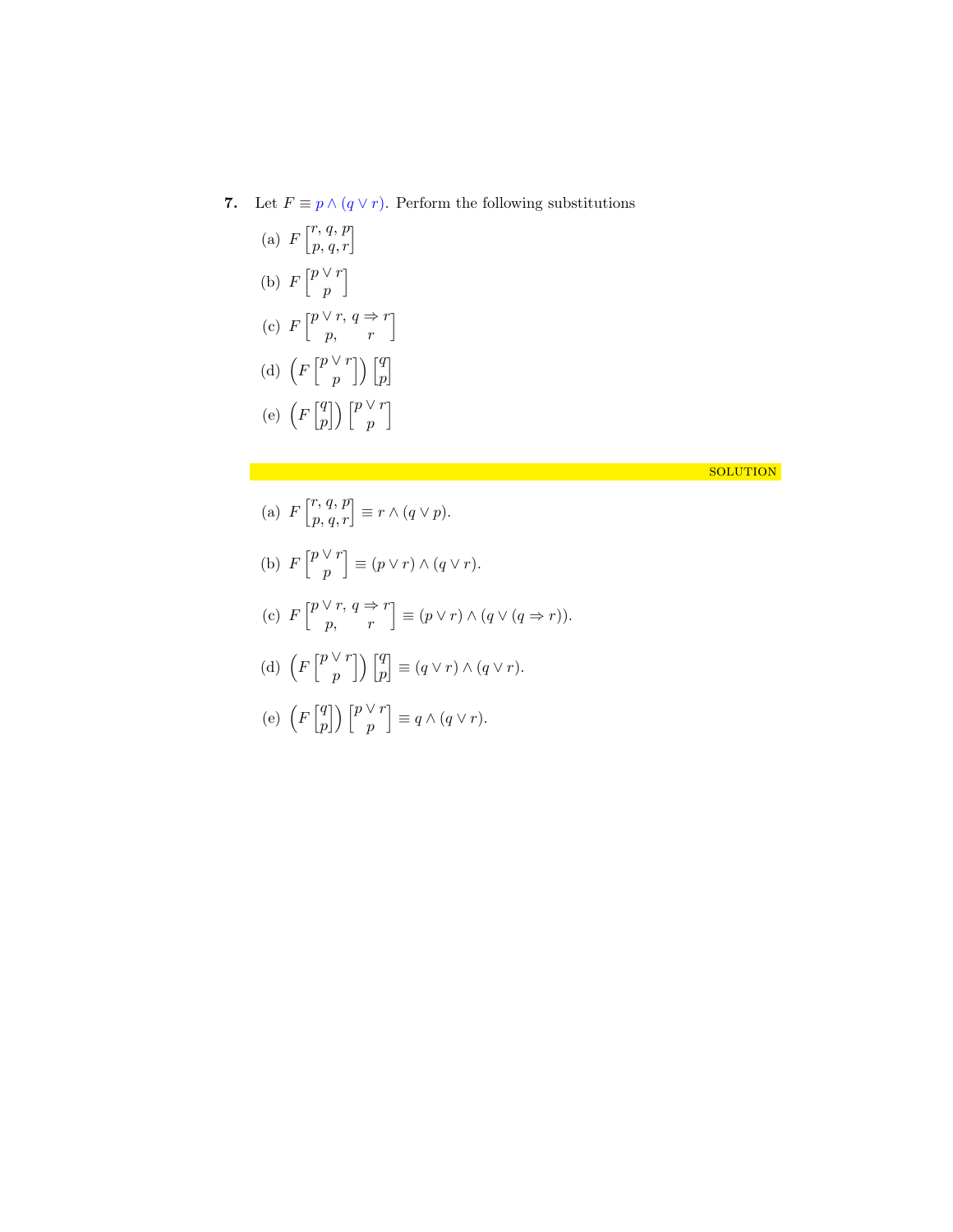7. Let  $F \equiv p \wedge (q \vee r)$ . Perform the following substitutions

(a) 
$$
F\begin{bmatrix}r, q, p\\p, q, r\end{bmatrix}
$$
  
\n(b)  $F\begin{bmatrix}p\vee r\\p\end{bmatrix}$   
\n(c)  $F\begin{bmatrix}p\vee r, q \Rightarrow r\\p, r\end{bmatrix}$   
\n(d)  $\left(F\begin{bmatrix}p\vee r\\p\end{bmatrix}\right)\begin{bmatrix}q\\p\end{bmatrix}$   
\n(e)  $\left(F\begin{bmatrix}q\\p\end{bmatrix}\right)\begin{bmatrix}p\vee r\\p\end{bmatrix}$ 

## solution is a set of the contract of  $\mathcal{S}$  . The contract of the contract of  $\mathcal{S}$  solution

- (a)  $F\begin{bmatrix}r, q, p\\p, q, r\end{bmatrix} \equiv r \wedge (q \vee p).$
- (b)  $F\left[\begin{array}{c}p\vee r\\ n\end{array}\right]$ p  $\Big] \equiv (p \vee r) \wedge (q \vee r).$
- (c)  $F\begin{bmatrix} p\vee r, q \Rightarrow r \\ p, & r \end{bmatrix} \equiv (p\vee r) \wedge (q\vee (q \Rightarrow r)).$

(d) 
$$
\left(F\begin{bmatrix}p\vee r\\ p\end{bmatrix}\right)\begin{bmatrix}q\\ p\end{bmatrix}\equiv (q\vee r)\wedge (q\vee r).
$$

(e) 
$$
\left(F\begin{bmatrix} q \\ p \end{bmatrix}\right)\begin{bmatrix} p \vee r \\ p \end{bmatrix} \equiv q \wedge (q \vee r).
$$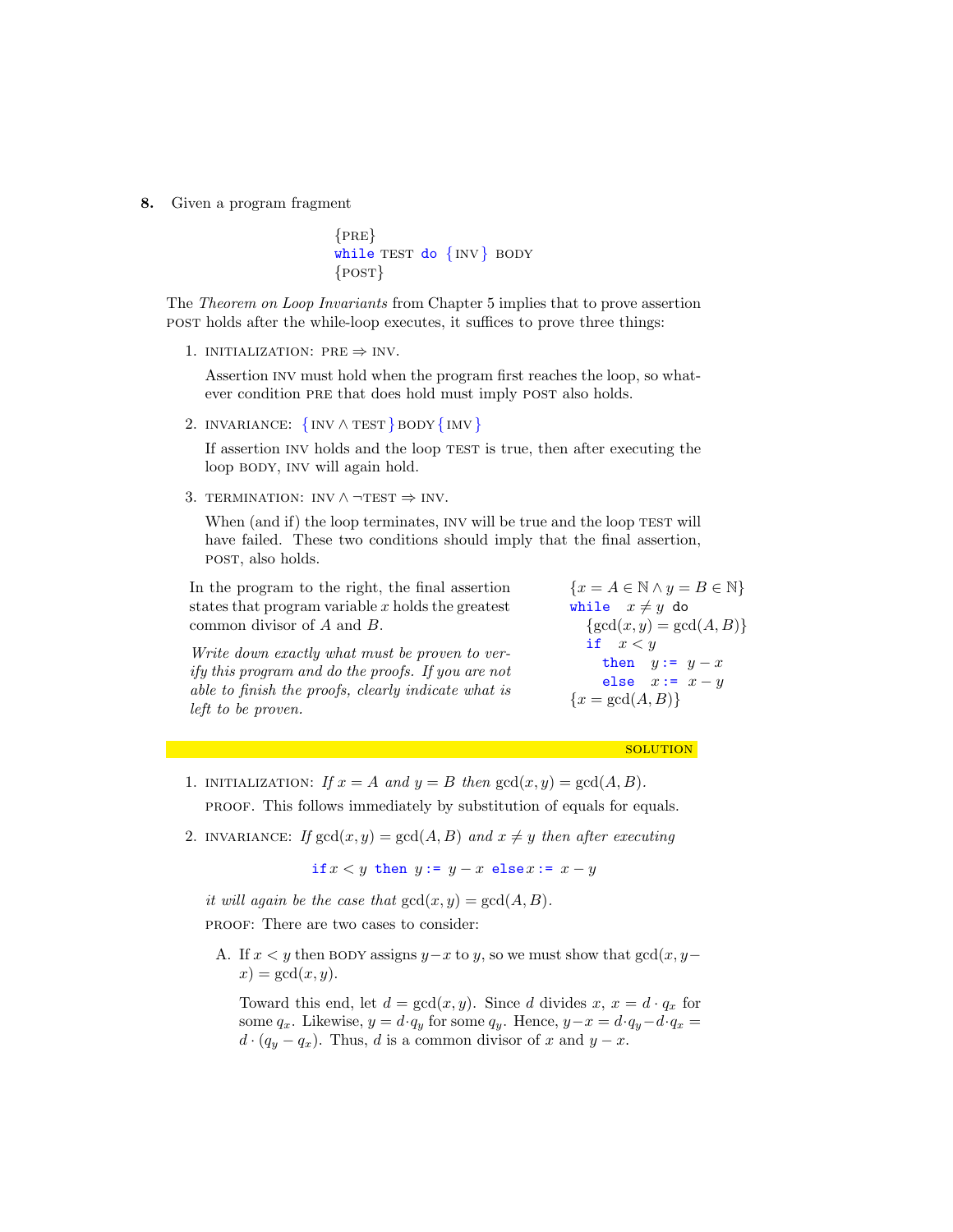8. Given a program fragment

```
{PRE}while TEST do \{INV\} BODY
\{POST\}
```
The Theorem on Loop Invariants from Chapter 5 implies that to prove assertion post holds after the while-loop executes, it suffices to prove three things:

1. INITIALIZATION:  $PRE \Rightarrow INV$ .

Assertion inv must hold when the program first reaches the loop, so whatever condition PRE that does hold must imply POST also holds.

2. INVARIANCE:  $\{INV \wedge TEST\}$ BODY $\{INV\}$ 

If assertion INV holds and the loop TEST is true, then after executing the loop BODY, INV will again hold.

3. TERMINATION: INV  $\land \neg TEST \Rightarrow INV$ .

When (and if) the loop terminates, INV will be true and the loop TEST will have failed. These two conditions should imply that the final assertion, post, also holds.

In the program to the right, the final assertion states that program variable  $x$  holds the greatest common divisor of A and B.

Write down exactly what must be proven to verify this program and do the proofs. If you are not able to finish the proofs, clearly indicate what is left to be proven.

 ${x = A \in \mathbb{N} \land y = B \in \mathbb{N}}$ while  $x \neq y$  do  $\{\gcd(x, y) = \gcd(A, B)\}\$ if  $x < y$ then  $y := y - x$ else  $x:= x - y$  ${x = \gcd(A, B)}$ 

**SOLUTION** 

1. INITIALIZATION: If  $x = A$  and  $y = B$  then  $gcd(x, y) = gcd(A, B)$ .

proof. This follows immediately by substitution of equals for equals.

2. INVARIANCE: If  $gcd(x, y) = gcd(A, B)$  and  $x \neq y$  then after executing

if  $x < y$  then  $y := y - x$  else $x := x - y$ 

it will again be the case that  $gcd(x, y) = gcd(A, B)$ .

proof: There are two cases to consider:

A. If  $x < y$  then BODY assigns  $y-x$  to y, so we must show that  $gcd(x, y-\alpha)$  $x) = \gcd(x, y).$ 

Toward this end, let  $d = \gcd(x, y)$ . Since d divides  $x, x = d \cdot q_x$  for some  $q_x$ . Likewise,  $y = d \cdot q_y$  for some  $q_y$ . Hence,  $y - x = d \cdot q_y - d \cdot q_x =$  $d \cdot (q_y - q_x)$ . Thus, d is a common divisor of x and  $y - x$ .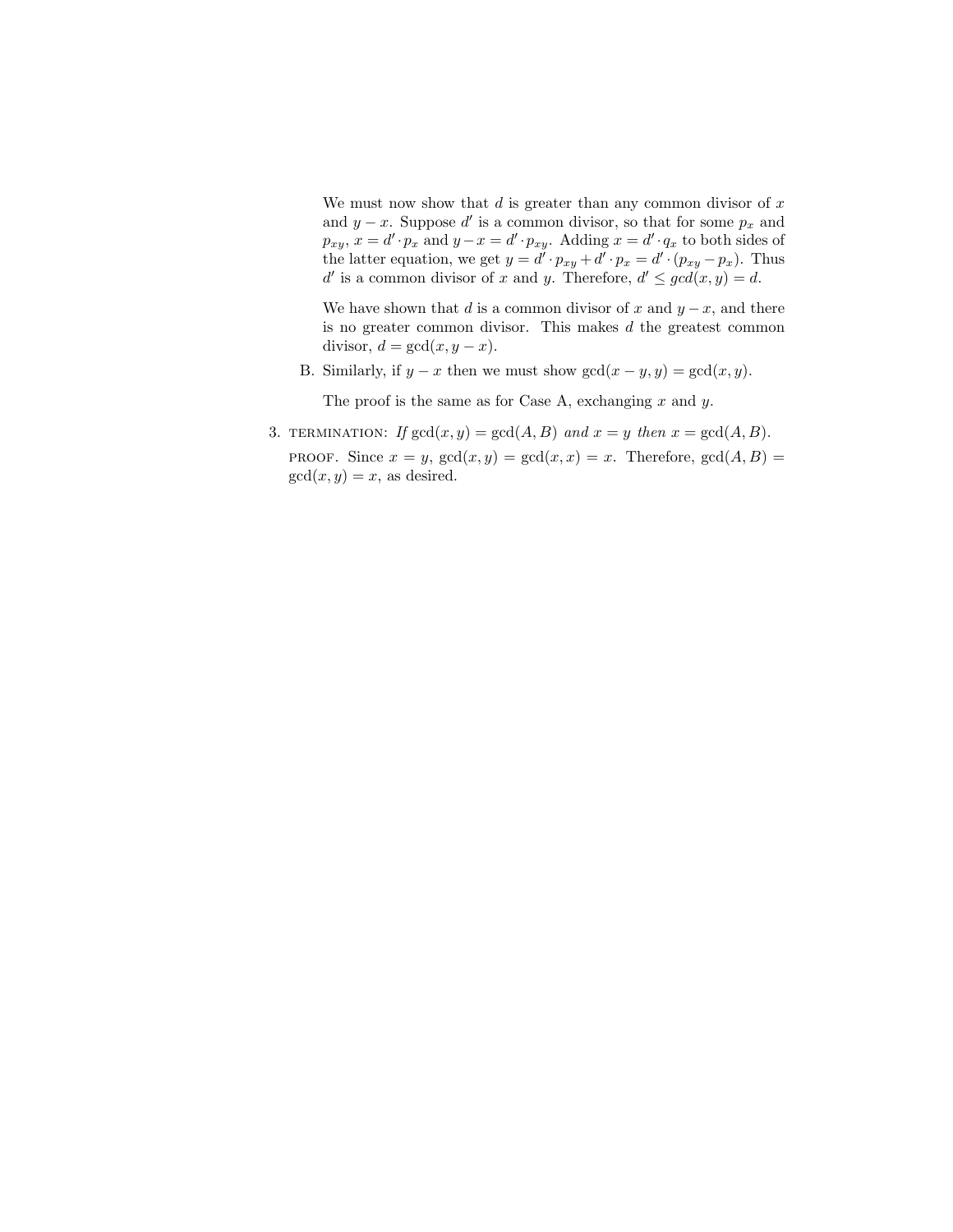We must now show that  $d$  is greater than any common divisor of  $x$ and  $y - x$ . Suppose d' is a common divisor, so that for some  $p_x$  and  $p_{xy}, x = d' \cdot p_x$  and  $y - x = d' \cdot p_{xy}$ . Adding  $x = d' \cdot q_x$  to both sides of the latter equation, we get  $y = d' \cdot p_{xy} + d' \cdot p_x = d' \cdot (p_{xy} - p_x)$ . Thus d' is a common divisor of x and y. Therefore,  $d' \leq \gcd(x, y) = d$ .

We have shown that d is a common divisor of x and  $y - x$ , and there is no greater common divisor. This makes  $d$  the greatest common divisor,  $d = \gcd(x, y - x)$ .

B. Similarly, if  $y - x$  then we must show  $gcd(x - y, y) = gcd(x, y)$ .

The proof is the same as for Case A, exchanging  $x$  and  $y$ .

3. TERMINATION: If  $gcd(x, y) = gcd(A, B)$  and  $x = y$  then  $x = gcd(A, B)$ . PROOF. Since  $x = y$ ,  $gcd(x, y) = gcd(x, x) = x$ . Therefore,  $gcd(A, B) =$  $gcd(x, y) = x$ , as desired.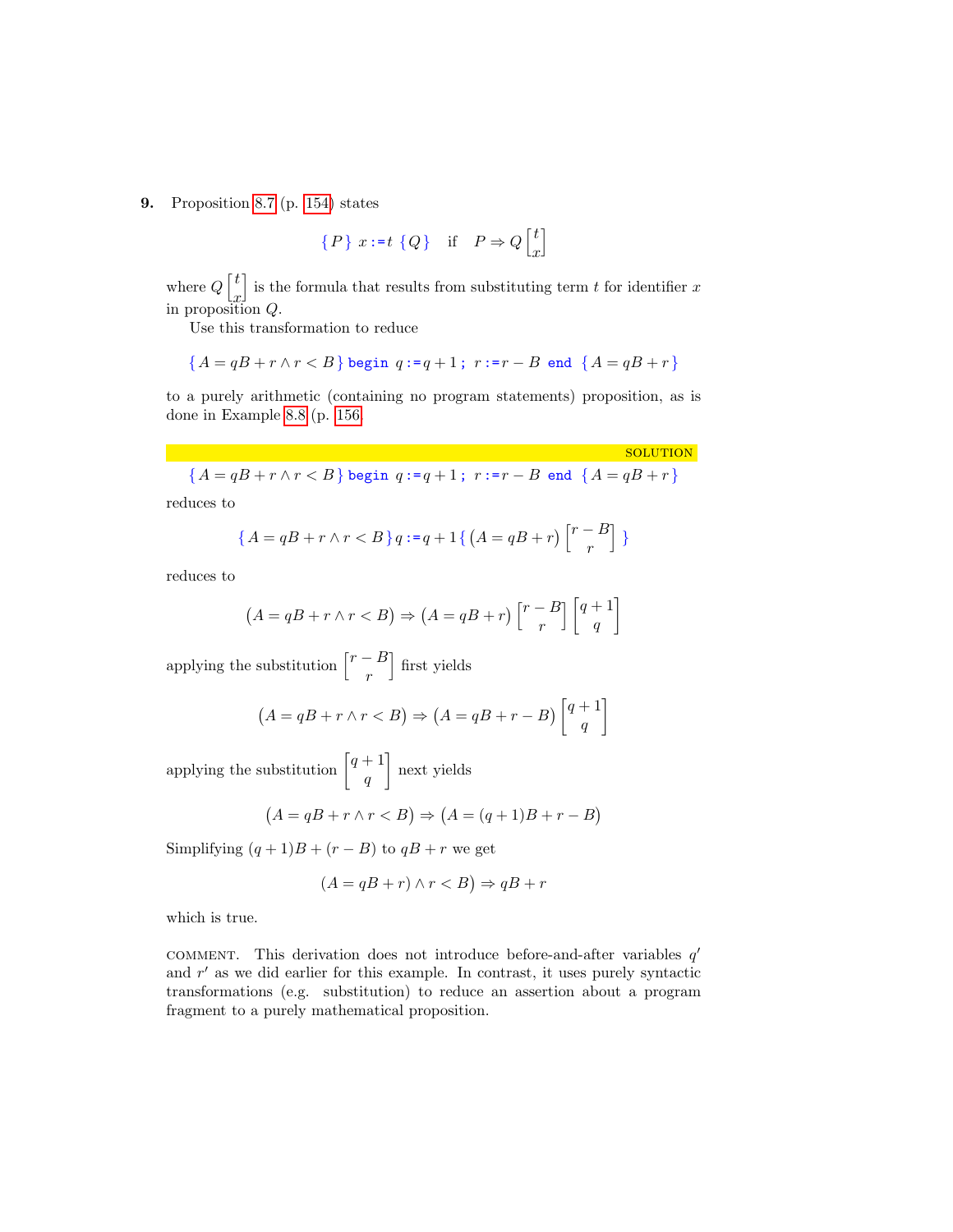9. Proposition [8.7](#page-0-0) (p. [154\)](#page-0-0) states

$$
\{P\} \ x := t \ Q\} \quad \text{if} \quad P \Rightarrow Q \begin{bmatrix} t \\ x \end{bmatrix}
$$

where  $Q\left\lceil\frac{t}{t}\right\rceil$  $\ddot{x}$ is the formula that results from substituting term  $t$  for identifier  $x$ in proposition Q.

Use this transformation to reduce

$$
\{A = qB + r \land r < B\} \text{ begin } q := q + 1; \ r := r - B \text{ end } \{A = qB + r\}
$$

to a purely arithmetic (containing no program statements) proposition, as is done in Example [8.8](#page-0-0) (p. [156.](#page-0-0)

**SOLUTION** 

$$
\{A = qB + r \wedge r < B\} \text{ begin } q := q + 1 \text{; } r := r - B \text{ end } \{A = qB + r\}
$$

reduces to

$$
\{A = qB + r \land r < B\}q := q + 1\{ \left(A = qB + r\right) \begin{bmatrix} r - B \\ r \end{bmatrix} \}
$$

reduces to

$$
(A = qB + r \land r < B) \Rightarrow (A = qB + r) \begin{bmatrix} r - B \\ r \end{bmatrix} \begin{bmatrix} q + 1 \\ q \end{bmatrix}
$$

applying the substitution  $\begin{bmatrix} r-B \end{bmatrix}$ r | first yields

$$
(A = qB + r \land r < B) \Rightarrow (A = qB + r - B) \begin{bmatrix} q+1\\q \end{bmatrix}
$$

applying the substitution  $\left[q+1\right]$ q next yields

$$
(A = qB + r \land r < B) \Rightarrow (A = (q+1)B + r - B)
$$

Simplifying  $(q + 1)B + (r - B)$  to  $qB + r$  we get

$$
(A = qB + r) \land r < B) \Rightarrow qB + r
$$

which is true.

COMMENT. This derivation does not introduce before-and-after variables  $q'$ and  $r'$  as we did earlier for this example. In contrast, it uses purely syntactic transformations (e.g. substitution) to reduce an assertion about a program fragment to a purely mathematical proposition.